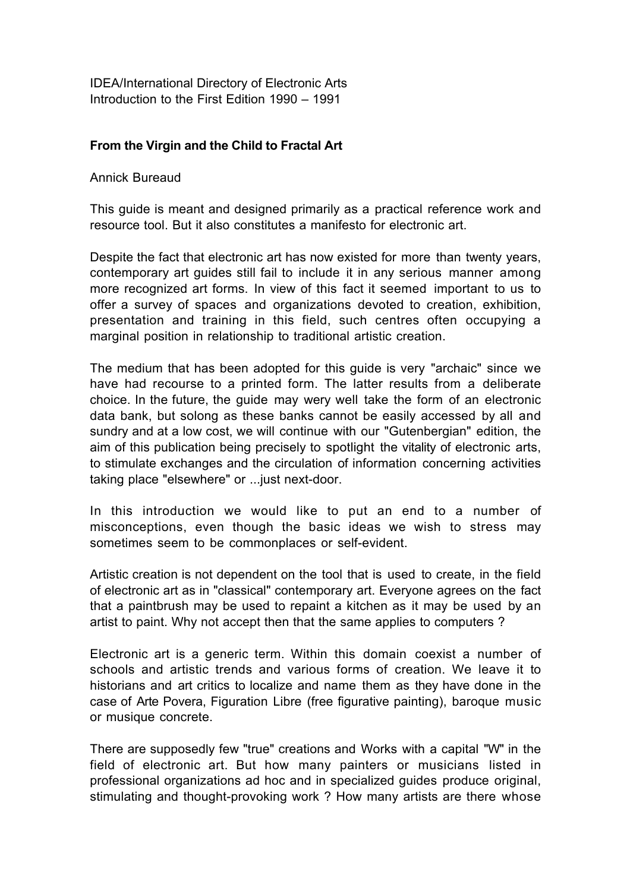IDEA/International Directory of Electronic Arts Introduction to the First Edition 1990 – 1991

## **From the Virgin and the Child to Fractal Art**

## Annick Bureaud

This guide is meant and designed primarily as a practical reference work and resource tool. But it also constitutes a manifesto for electronic art.

Despite the fact that electronic art has now existed for more than twenty years, contemporary art guides still fail to include it in any serious manner among more recognized art forms. In view of this fact it seemed important to us to offer a survey of spaces and organizations devoted to creation, exhibition, presentation and training in this field, such centres often occupying a marginal position in relationship to traditional artistic creation.

The medium that has been adopted for this guide is very "archaic" since we have had recourse to a printed form. The latter results from a deliberate choice. In the future, the guide may wery well take the form of an electronic data bank, but solong as these banks cannot be easily accessed by all and sundry and at a low cost, we will continue with our "Gutenbergian" edition, the aim of this publication being precisely to spotlight the vitality of electronic arts, to stimulate exchanges and the circulation of information concerning activities taking place "elsewhere" or ...just next-door.

In this introduction we would like to put an end to a number of misconceptions, even though the basic ideas we wish to stress may sometimes seem to be commonplaces or self-evident.

Artistic creation is not dependent on the tool that is used to create, in the field of electronic art as in "classical" contemporary art. Everyone agrees on the fact that a paintbrush may be used to repaint a kitchen as it may be used by an artist to paint. Why not accept then that the same applies to computers ?

Electronic art is a generic term. Within this domain coexist a number of schools and artistic trends and various forms of creation. We leave it to historians and art critics to localize and name them as they have done in the case of Arte Povera, Figuration Libre (free figurative painting), baroque music or musique concrete.

There are supposedly few "true" creations and Works with a capital "W" in the field of electronic art. But how many painters or musicians listed in professional organizations ad hoc and in specialized guides produce original, stimulating and thought-provoking work ? How many artists are there whose